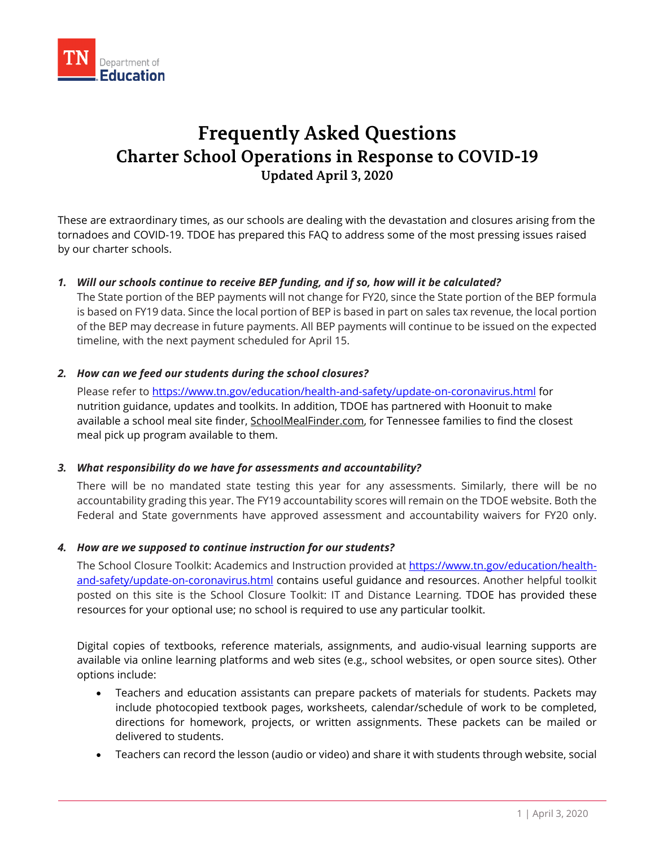

# **Frequently Asked Questions Charter School Operations in Response to COVID-19 Updated April 3, 2020**

These are extraordinary times, as our schools are dealing with the devastation and closures arising from the tornadoes and COVID-19. TDOE has prepared this FAQ to address some of the most pressing issues raised by our charter schools.

## *1. Will our schools continue to receive BEP funding, and if so, how will it be calculated?*

The State portion of the BEP payments will not change for FY20, since the State portion of the BEP formula is based on FY19 data. Since the local portion of BEP is based in part on sales tax revenue, the local portion of the BEP may decrease in future payments. All BEP payments will continue to be issued on the expected timeline, with the next payment scheduled for April 15.

## *2. How can we feed our students during the school closures?*

Please refer to<https://www.tn.gov/education/health-and-safety/update-on-coronavirus.html> for nutrition guidance, updates and toolkits. In addition, TDOE has partnered with Hoonuit to make available a school meal site finder, [SchoolMealFinder.com,](http://schoolmealfinder.com/) for Tennessee families to find the closest meal pick up program available to them.

#### *3. What responsibility do we have for assessments and accountability?*

There will be no mandated state testing this year for any assessments. Similarly, there will be no accountability grading this year. The FY19 accountability scores will remain on the TDOE website. Both the Federal and State governments have approved assessment and accountability waivers for FY20 only.

#### *4. How are we supposed to continue instruction for our students?*

The School Closure Toolkit: Academics and Instruction provided at [https://www.tn.gov/education/health](https://www.tn.gov/education/health-and-safety/update-on-coronavirus.html)[and-safety/update-on-coronavirus.html](https://www.tn.gov/education/health-and-safety/update-on-coronavirus.html) contains useful guidance and resources. Another helpful toolkit posted on this site is the School Closure Toolkit: IT and Distance Learning. TDOE has provided these resources for your optional use; no school is required to use any particular toolkit.

Digital copies of textbooks, reference materials, assignments, and audio-visual learning supports are available via online learning platforms and web sites (e.g., school websites, or open source sites). Other options include:

- Teachers and education assistants can prepare packets of materials for students. Packets may include photocopied textbook pages, worksheets, calendar/schedule of work to be completed, directions for homework, projects, or written assignments. These packets can be mailed or delivered to students.
- Teachers can record the lesson (audio or video) and share it with students through website, social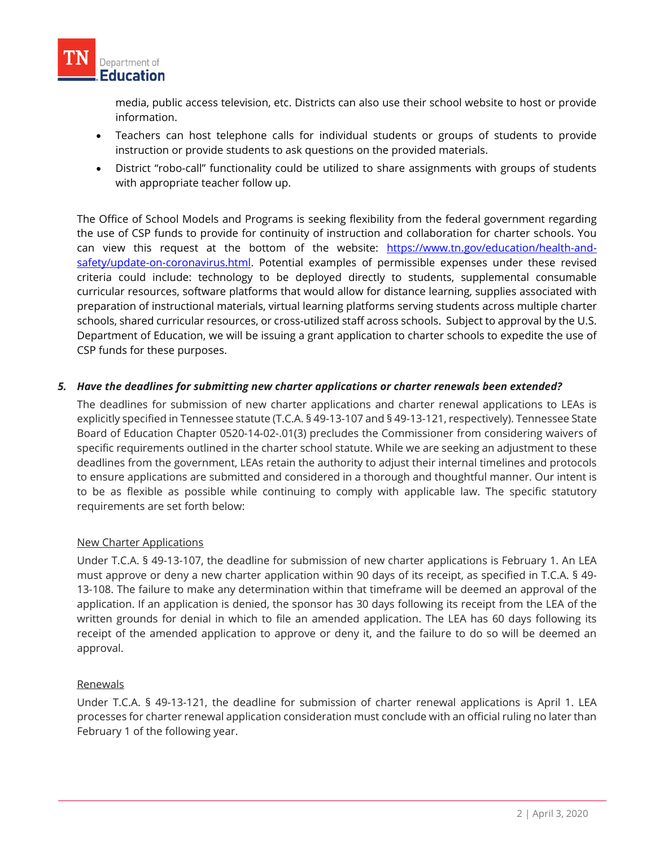

media, public access television, etc. Districts can also use their school website to host or provide information.

- Teachers can host telephone calls for individual students or groups of students to provide instruction or provide students to ask questions on the provided materials.
- District "robo-call" functionality could be utilized to share assignments with groups of students with appropriate teacher follow up.

The Office of School Models and Programs is seeking flexibility from the federal government regarding the use of CSP funds to provide for continuity of instruction and collaboration for charter schools. You can view this request at the bottom of the website: [https://www.tn.gov/education/health-and](https://www.tn.gov/education/health-and-safety/update-on-coronavirus.html)[safety/update-on-coronavirus.html.](https://www.tn.gov/education/health-and-safety/update-on-coronavirus.html) Potential examples of permissible expenses under these revised criteria could include: technology to be deployed directly to students, supplemental consumable curricular resources, software platforms that would allow for distance learning, supplies associated with preparation of instructional materials, virtual learning platforms serving students across multiple charter schools, shared curricular resources, or cross-utilized staff across schools. Subject to approval by the U.S. Department of Education, we will be issuing a grant application to charter schools to expedite the use of CSP funds for these purposes.

## *5. Have the deadlines for submitting new charter applications or charter renewals been extended?*

The deadlines for submission of new charter applications and charter renewal applications to LEAs is explicitly specified in Tennessee statute (T.C.A. § 49-13-107 and § 49-13-121, respectively). Tennessee State Board of Education Chapter 0520-14-02-.01(3) precludes the Commissioner from considering waivers of specific requirements outlined in the charter school statute. While we are seeking an adjustment to these deadlines from the government, LEAs retain the authority to adjust their internal timelines and protocols to ensure applications are submitted and considered in a thorough and thoughtful manner. Our intent is to be as flexible as possible while continuing to comply with applicable law. The specific statutory requirements are set forth below:

#### New Charter Applications

Under T.C.A. § 49-13-107, the deadline for submission of new charter applications is February 1. An LEA must approve or deny a new charter application within 90 days of its receipt, as specified in T.C.A. § 49- 13-108. The failure to make any determination within that timeframe will be deemed an approval of the application. If an application is denied, the sponsor has 30 days following its receipt from the LEA of the written grounds for denial in which to file an amended application. The LEA has 60 days following its receipt of the amended application to approve or deny it, and the failure to do so will be deemed an approval.

#### Renewals

Under T.C.A. § 49-13-121, the deadline for submission of charter renewal applications is April 1. LEA processes for charter renewal application consideration must conclude with an official ruling no later than February 1 of the following year.